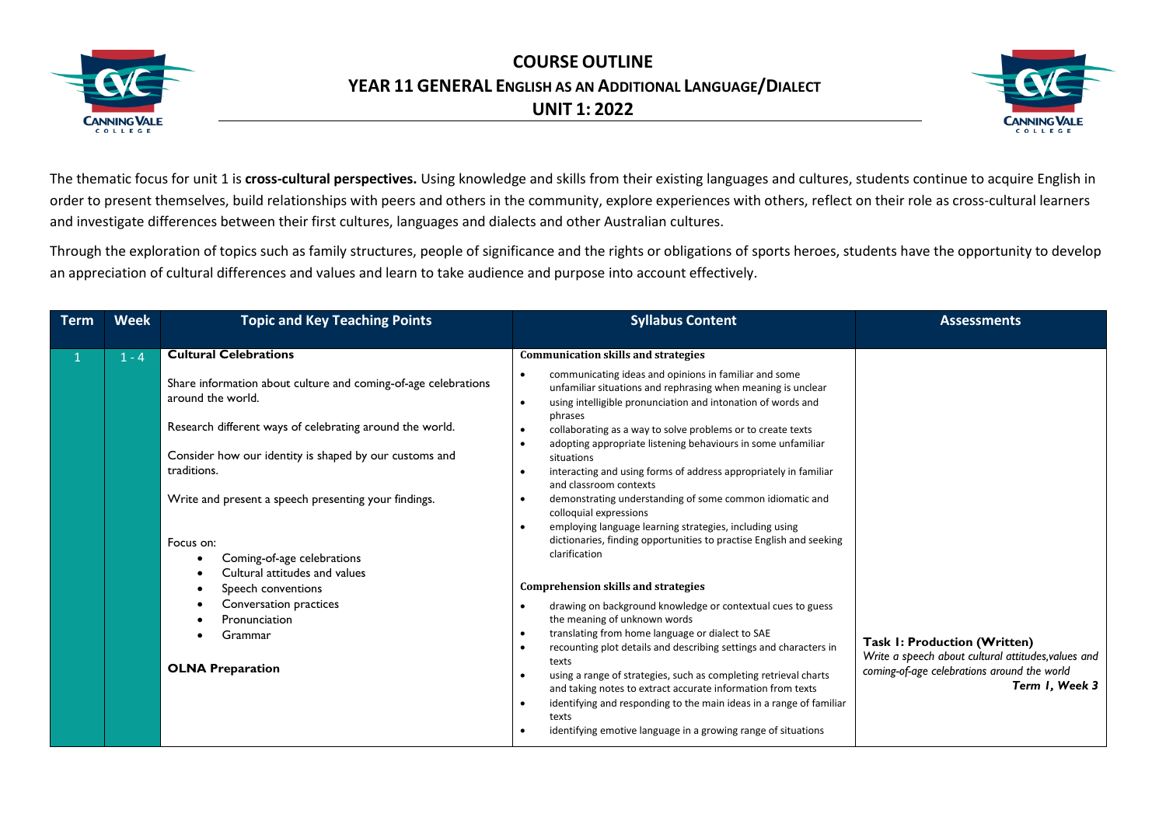



The thematic focus for unit 1 is **cross-cultural perspectives.** Using knowledge and skills from their existing languages and cultures, students continue to acquire English in order to present themselves, build relationships with peers and others in the community, explore experiences with others, reflect on their role as cross-cultural learners and investigate differences between their first cultures, languages and dialects and other Australian cultures.

Through the exploration of topics such as family structures, people of significance and the rights or obligations of sports heroes, students have the opportunity to develop an appreciation of cultural differences and values and learn to take audience and purpose into account effectively.

| <b>Term</b> | <b>Week</b> | <b>Topic and Key Teaching Points</b>                                                                                                                                                                                                                                                                                                                                                                                                                                                                | <b>Syllabus Content</b>                                                                                                                                                                                                                                                                                                                                                                                                                                                                                                                                                                                                                                                                                                                                                                                                                                                                                                                                                                                                                                                                                                                                                                                                                                                                               | <b>Assessments</b>                                                                                                                                   |
|-------------|-------------|-----------------------------------------------------------------------------------------------------------------------------------------------------------------------------------------------------------------------------------------------------------------------------------------------------------------------------------------------------------------------------------------------------------------------------------------------------------------------------------------------------|-------------------------------------------------------------------------------------------------------------------------------------------------------------------------------------------------------------------------------------------------------------------------------------------------------------------------------------------------------------------------------------------------------------------------------------------------------------------------------------------------------------------------------------------------------------------------------------------------------------------------------------------------------------------------------------------------------------------------------------------------------------------------------------------------------------------------------------------------------------------------------------------------------------------------------------------------------------------------------------------------------------------------------------------------------------------------------------------------------------------------------------------------------------------------------------------------------------------------------------------------------------------------------------------------------|------------------------------------------------------------------------------------------------------------------------------------------------------|
|             | $1 - 4$     | <b>Cultural Celebrations</b><br>Share information about culture and coming-of-age celebrations<br>around the world.<br>Research different ways of celebrating around the world.<br>Consider how our identity is shaped by our customs and<br>traditions.<br>Write and present a speech presenting your findings.<br>Focus on:<br>Coming-of-age celebrations<br>Cultural attitudes and values<br>Speech conventions<br>Conversation practices<br>Pronunciation<br>Grammar<br><b>OLNA Preparation</b> | <b>Communication skills and strategies</b><br>communicating ideas and opinions in familiar and some<br>unfamiliar situations and rephrasing when meaning is unclear<br>using intelligible pronunciation and intonation of words and<br>phrases<br>collaborating as a way to solve problems or to create texts<br>adopting appropriate listening behaviours in some unfamiliar<br>situations<br>interacting and using forms of address appropriately in familiar<br>and classroom contexts<br>demonstrating understanding of some common idiomatic and<br>colloquial expressions<br>employing language learning strategies, including using<br>dictionaries, finding opportunities to practise English and seeking<br>clarification<br><b>Comprehension skills and strategies</b><br>drawing on background knowledge or contextual cues to guess<br>the meaning of unknown words<br>translating from home language or dialect to SAE<br>recounting plot details and describing settings and characters in<br>texts<br>using a range of strategies, such as completing retrieval charts<br>and taking notes to extract accurate information from texts<br>identifying and responding to the main ideas in a range of familiar<br>texts<br>identifying emotive language in a growing range of situations | Task I: Production (Written)<br>Write a speech about cultural attitudes, values and<br>coming-of-age celebrations around the world<br>Term 1, Week 3 |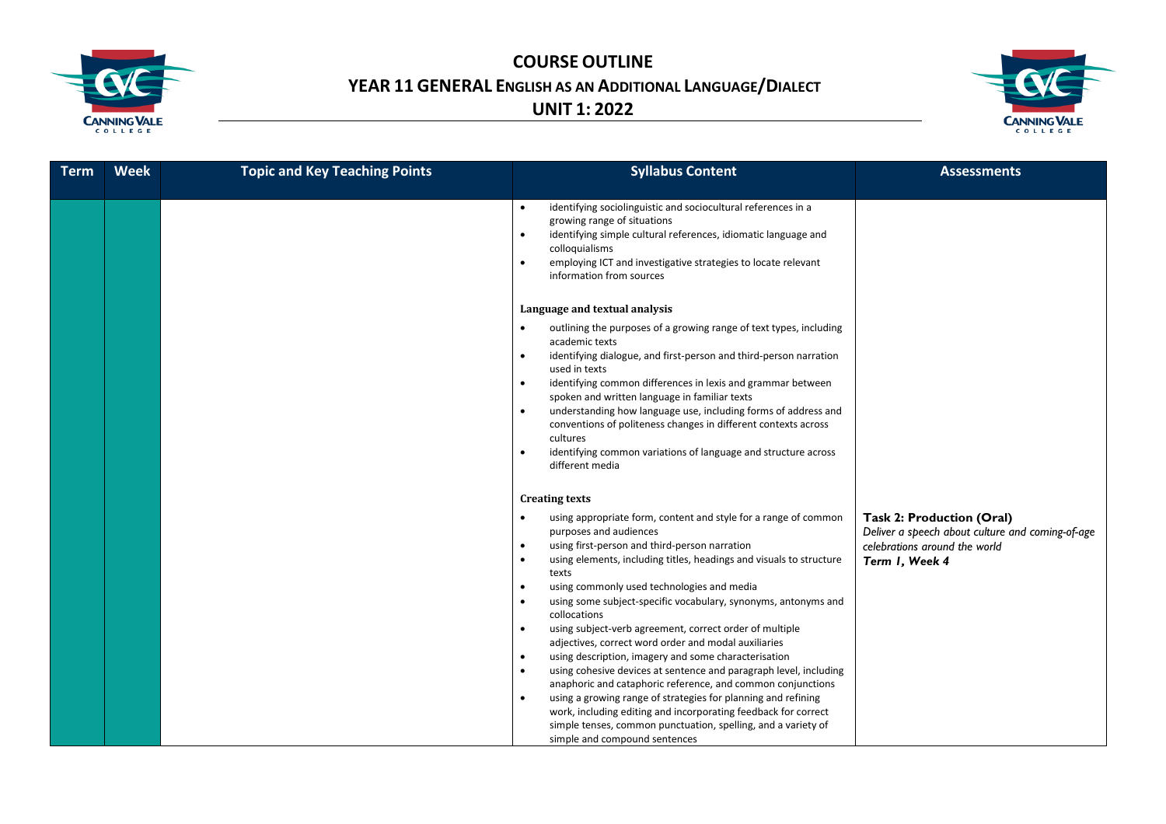



| <b>Term</b> | <b>Week</b> | <b>Topic and Key Teaching Points</b> | <b>Syllabus Content</b>                                                                                                                                                                                                                                                                                                                                                                                                                                                                                                                                                                                                                                                                                                                                                                                                                                                                                                                                                         | <b>Assessments</b>                                                                                                                      |
|-------------|-------------|--------------------------------------|---------------------------------------------------------------------------------------------------------------------------------------------------------------------------------------------------------------------------------------------------------------------------------------------------------------------------------------------------------------------------------------------------------------------------------------------------------------------------------------------------------------------------------------------------------------------------------------------------------------------------------------------------------------------------------------------------------------------------------------------------------------------------------------------------------------------------------------------------------------------------------------------------------------------------------------------------------------------------------|-----------------------------------------------------------------------------------------------------------------------------------------|
|             |             |                                      | identifying sociolinguistic and sociocultural references in a<br>$\bullet$<br>growing range of situations<br>identifying simple cultural references, idiomatic language and<br>$\bullet$<br>colloquialisms<br>employing ICT and investigative strategies to locate relevant<br>$\bullet$<br>information from sources                                                                                                                                                                                                                                                                                                                                                                                                                                                                                                                                                                                                                                                            |                                                                                                                                         |
|             |             |                                      | Language and textual analysis                                                                                                                                                                                                                                                                                                                                                                                                                                                                                                                                                                                                                                                                                                                                                                                                                                                                                                                                                   |                                                                                                                                         |
|             |             |                                      | outlining the purposes of a growing range of text types, including<br>academic texts<br>identifying dialogue, and first-person and third-person narration<br>$\bullet$<br>used in texts<br>identifying common differences in lexis and grammar between<br>spoken and written language in familiar texts<br>understanding how language use, including forms of address and<br>$\bullet$<br>conventions of politeness changes in different contexts across<br>cultures<br>identifying common variations of language and structure across<br>different media                                                                                                                                                                                                                                                                                                                                                                                                                       |                                                                                                                                         |
|             |             |                                      | <b>Creating texts</b>                                                                                                                                                                                                                                                                                                                                                                                                                                                                                                                                                                                                                                                                                                                                                                                                                                                                                                                                                           |                                                                                                                                         |
|             |             |                                      | using appropriate form, content and style for a range of common<br>purposes and audiences<br>using first-person and third-person narration<br>$\bullet$<br>using elements, including titles, headings and visuals to structure<br>$\bullet$<br>texts<br>using commonly used technologies and media<br>using some subject-specific vocabulary, synonyms, antonyms and<br>collocations<br>using subject-verb agreement, correct order of multiple<br>$\bullet$<br>adjectives, correct word order and modal auxiliaries<br>using description, imagery and some characterisation<br>$\bullet$<br>using cohesive devices at sentence and paragraph level, including<br>$\bullet$<br>anaphoric and cataphoric reference, and common conjunctions<br>using a growing range of strategies for planning and refining<br>work, including editing and incorporating feedback for correct<br>simple tenses, common punctuation, spelling, and a variety of<br>simple and compound sentences | <b>Task 2: Production (Oral)</b><br>Deliver a speech about culture and coming-of-age<br>celebrations around the world<br>Term I, Week 4 |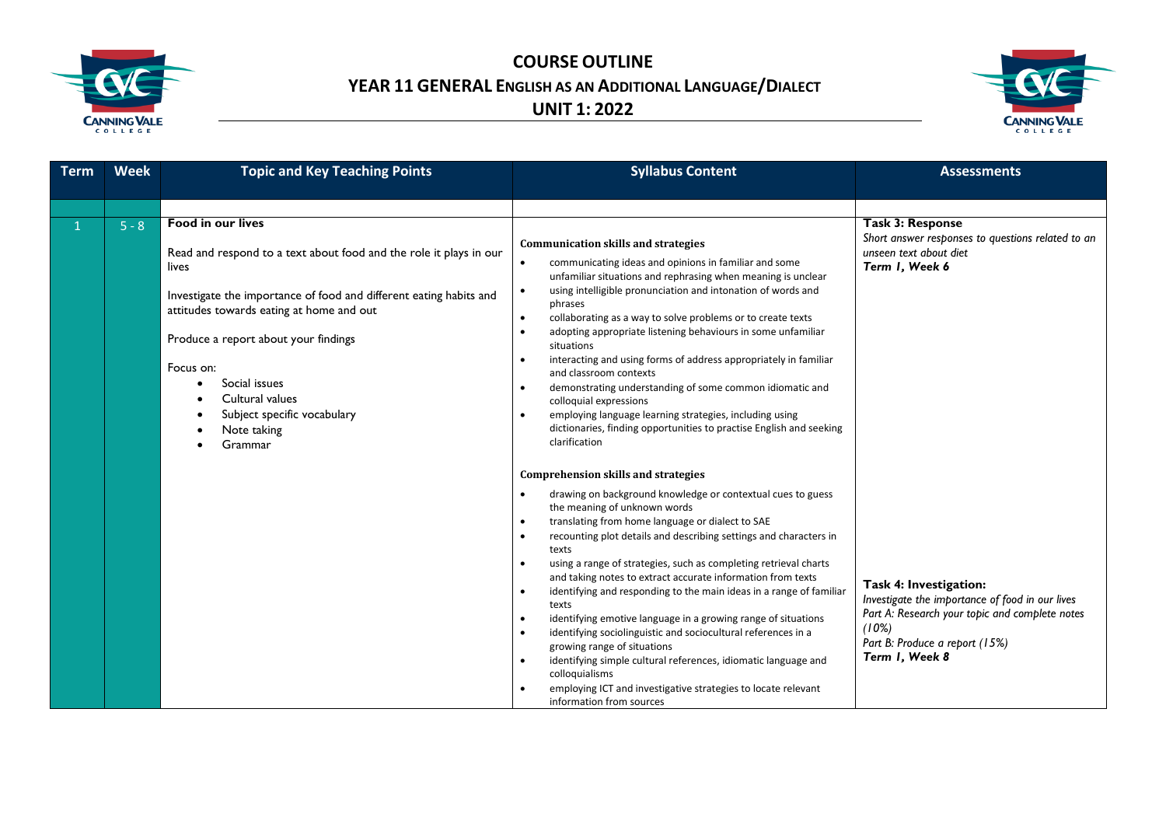



| <b>Term</b> | <b>Week</b> | <b>Topic and Key Teaching Points</b>                                                                                                                                                                                                                                                                                                                                        | <b>Syllabus Content</b>                                                                                                                                                                                                                                                                                                                                                                                                                                                                                                                                                                                                                                                                                                                                                                                                                                                                                                                                  | <b>Assessments</b>                                                                                                                                                                       |
|-------------|-------------|-----------------------------------------------------------------------------------------------------------------------------------------------------------------------------------------------------------------------------------------------------------------------------------------------------------------------------------------------------------------------------|----------------------------------------------------------------------------------------------------------------------------------------------------------------------------------------------------------------------------------------------------------------------------------------------------------------------------------------------------------------------------------------------------------------------------------------------------------------------------------------------------------------------------------------------------------------------------------------------------------------------------------------------------------------------------------------------------------------------------------------------------------------------------------------------------------------------------------------------------------------------------------------------------------------------------------------------------------|------------------------------------------------------------------------------------------------------------------------------------------------------------------------------------------|
|             |             |                                                                                                                                                                                                                                                                                                                                                                             |                                                                                                                                                                                                                                                                                                                                                                                                                                                                                                                                                                                                                                                                                                                                                                                                                                                                                                                                                          |                                                                                                                                                                                          |
|             | $5 - 8$     | <b>Food in our lives</b><br>Read and respond to a text about food and the role it plays in our<br>lives<br>Investigate the importance of food and different eating habits and<br>attitudes towards eating at home and out<br>Produce a report about your findings<br>Focus on:<br>Social issues<br>Cultural values<br>Subject specific vocabulary<br>Note taking<br>Grammar | <b>Communication skills and strategies</b><br>communicating ideas and opinions in familiar and some<br>unfamiliar situations and rephrasing when meaning is unclear<br>using intelligible pronunciation and intonation of words and<br>$\bullet$<br>phrases<br>collaborating as a way to solve problems or to create texts<br>$\bullet$<br>adopting appropriate listening behaviours in some unfamiliar<br>$\bullet$<br>situations<br>interacting and using forms of address appropriately in familiar<br>and classroom contexts<br>demonstrating understanding of some common idiomatic and<br>$\bullet$<br>colloquial expressions<br>employing language learning strategies, including using<br>dictionaries, finding opportunities to practise English and seeking<br>clarification                                                                                                                                                                   | <b>Task 3: Response</b><br>Short answer responses to questions related to an<br>unseen text about diet<br>Term I, Week 6                                                                 |
|             |             |                                                                                                                                                                                                                                                                                                                                                                             | <b>Comprehension skills and strategies</b><br>drawing on background knowledge or contextual cues to guess<br>$\bullet$<br>the meaning of unknown words<br>translating from home language or dialect to SAE<br>$\bullet$<br>recounting plot details and describing settings and characters in<br>$\bullet$<br>texts<br>using a range of strategies, such as completing retrieval charts<br>$\bullet$<br>and taking notes to extract accurate information from texts<br>identifying and responding to the main ideas in a range of familiar<br>$\bullet$<br>texts<br>identifying emotive language in a growing range of situations<br>$\bullet$<br>identifying sociolinguistic and sociocultural references in a<br>$\bullet$<br>growing range of situations<br>identifying simple cultural references, idiomatic language and<br>$\bullet$<br>colloquialisms<br>employing ICT and investigative strategies to locate relevant<br>information from sources | Task 4: Investigation:<br>Investigate the importance of food in our lives<br>Part A: Research your topic and complete notes<br>(10%)<br>Part B: Produce a report (15%)<br>Term I, Week 8 |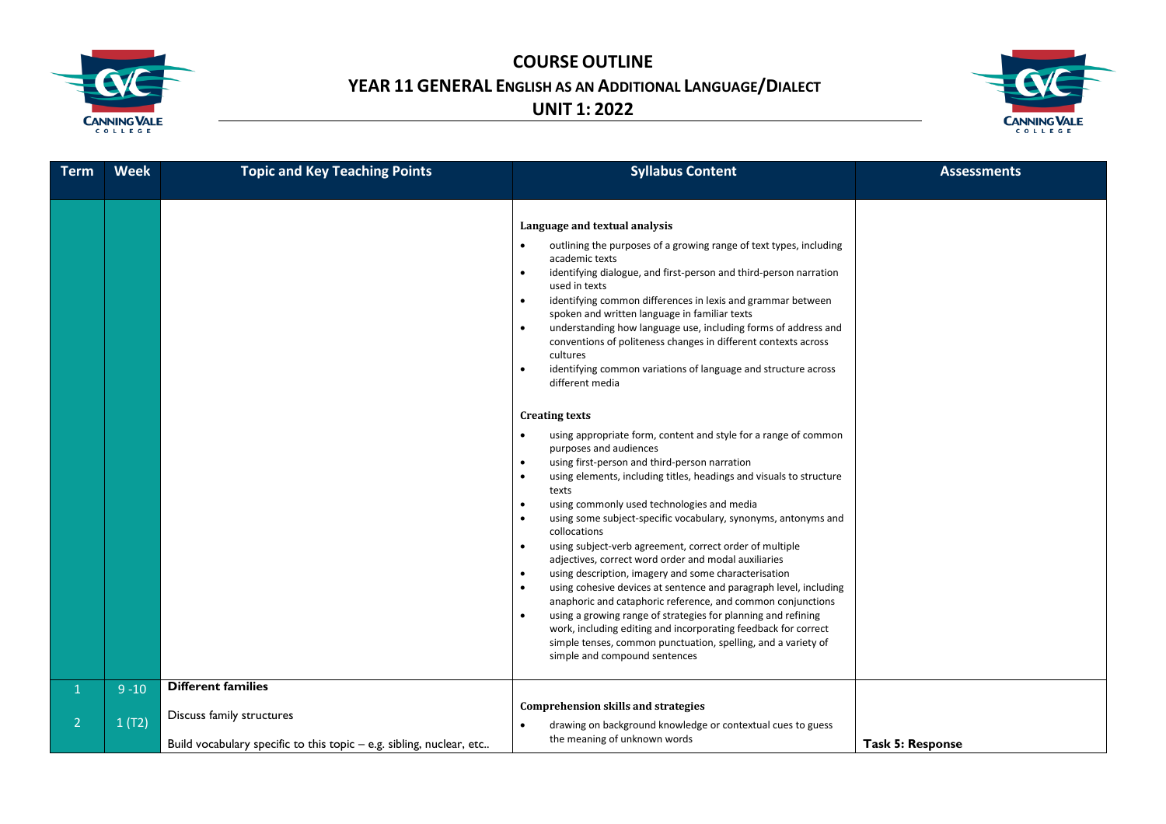



| <b>Term</b>                    | <b>Week</b>       | <b>Topic and Key Teaching Points</b>                                 | <b>Syllabus Content</b>                                                                                                                                                                                                                                                                                                                                                                                                                                                                                                                                                                                                                                                                                                                                                                                                                                                                                                                                                                                                                                                                                                                                                                                                                                                                                                                                                                                                                                                                                                                                                                                                          | <b>Assessments</b>      |
|--------------------------------|-------------------|----------------------------------------------------------------------|----------------------------------------------------------------------------------------------------------------------------------------------------------------------------------------------------------------------------------------------------------------------------------------------------------------------------------------------------------------------------------------------------------------------------------------------------------------------------------------------------------------------------------------------------------------------------------------------------------------------------------------------------------------------------------------------------------------------------------------------------------------------------------------------------------------------------------------------------------------------------------------------------------------------------------------------------------------------------------------------------------------------------------------------------------------------------------------------------------------------------------------------------------------------------------------------------------------------------------------------------------------------------------------------------------------------------------------------------------------------------------------------------------------------------------------------------------------------------------------------------------------------------------------------------------------------------------------------------------------------------------|-------------------------|
|                                |                   |                                                                      | Language and textual analysis<br>outlining the purposes of a growing range of text types, including<br>academic texts<br>identifying dialogue, and first-person and third-person narration<br>used in texts<br>identifying common differences in lexis and grammar between<br>$\bullet$<br>spoken and written language in familiar texts<br>understanding how language use, including forms of address and<br>$\bullet$<br>conventions of politeness changes in different contexts across<br>cultures<br>identifying common variations of language and structure across<br>different media<br><b>Creating texts</b><br>using appropriate form, content and style for a range of common<br>purposes and audiences<br>using first-person and third-person narration<br>$\bullet$<br>using elements, including titles, headings and visuals to structure<br>$\bullet$<br>texts<br>using commonly used technologies and media<br>$\bullet$<br>using some subject-specific vocabulary, synonyms, antonyms and<br>$\bullet$<br>collocations<br>using subject-verb agreement, correct order of multiple<br>$\bullet$<br>adjectives, correct word order and modal auxiliaries<br>using description, imagery and some characterisation<br>$\bullet$<br>using cohesive devices at sentence and paragraph level, including<br>$\bullet$<br>anaphoric and cataphoric reference, and common conjunctions<br>using a growing range of strategies for planning and refining<br>work, including editing and incorporating feedback for correct<br>simple tenses, common punctuation, spelling, and a variety of<br>simple and compound sentences |                         |
| $\mathbf{1}$<br>$\overline{2}$ | $9 - 10$<br>1(T2) | <b>Different families</b><br>Discuss family structures               | <b>Comprehension skills and strategies</b><br>drawing on background knowledge or contextual cues to guess                                                                                                                                                                                                                                                                                                                                                                                                                                                                                                                                                                                                                                                                                                                                                                                                                                                                                                                                                                                                                                                                                                                                                                                                                                                                                                                                                                                                                                                                                                                        |                         |
|                                |                   | Build vocabulary specific to this topic - e.g. sibling, nuclear, etc | the meaning of unknown words                                                                                                                                                                                                                                                                                                                                                                                                                                                                                                                                                                                                                                                                                                                                                                                                                                                                                                                                                                                                                                                                                                                                                                                                                                                                                                                                                                                                                                                                                                                                                                                                     | <b>Task 5: Response</b> |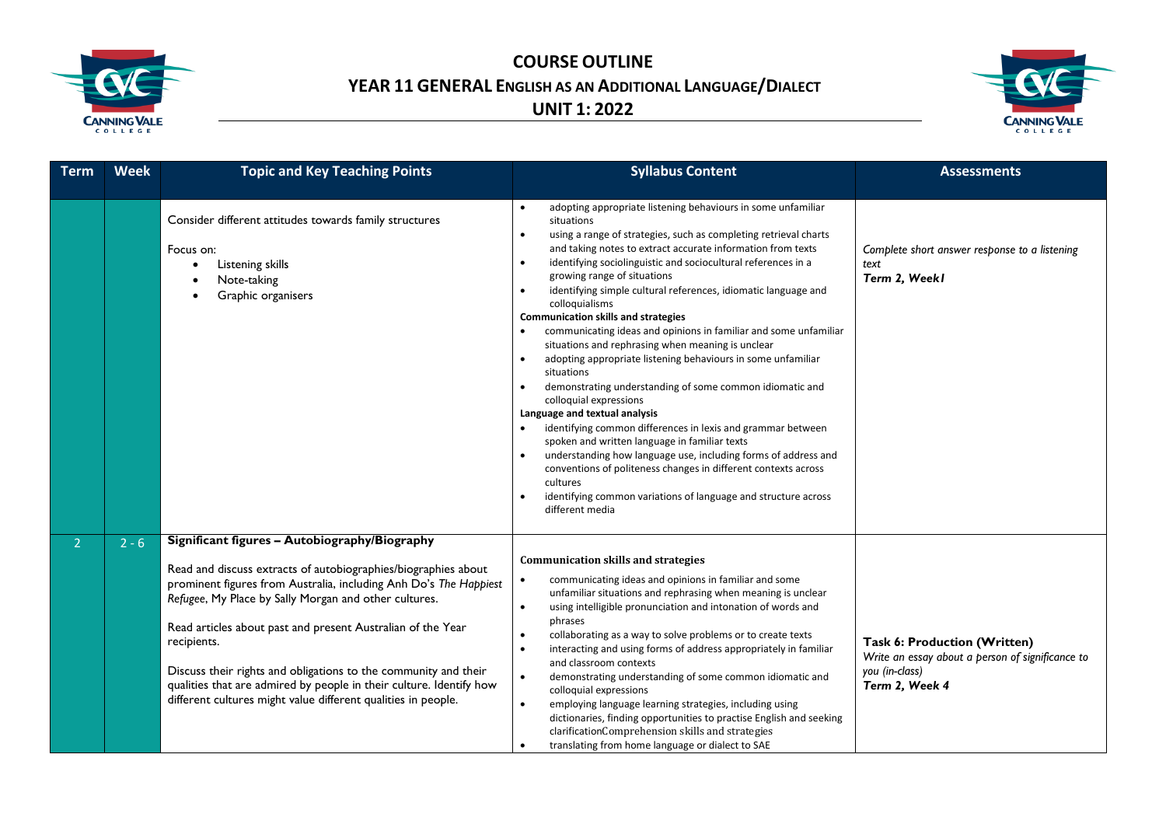



| <b>Term</b>    | <b>Week</b> | <b>Topic and Key Teaching Points</b>                                                                                                                                                                                                                                                                                                                                                                                                                                                                                                   | <b>Syllabus Content</b>                                                                                                                                                                                                                                                                                                                                                                                                                                                                                                                                                                                                                                                                                                                                                                                                                                                                                                                                                                                                                                                                                                                                                                                          | <b>Assessments</b>                                                                                                   |
|----------------|-------------|----------------------------------------------------------------------------------------------------------------------------------------------------------------------------------------------------------------------------------------------------------------------------------------------------------------------------------------------------------------------------------------------------------------------------------------------------------------------------------------------------------------------------------------|------------------------------------------------------------------------------------------------------------------------------------------------------------------------------------------------------------------------------------------------------------------------------------------------------------------------------------------------------------------------------------------------------------------------------------------------------------------------------------------------------------------------------------------------------------------------------------------------------------------------------------------------------------------------------------------------------------------------------------------------------------------------------------------------------------------------------------------------------------------------------------------------------------------------------------------------------------------------------------------------------------------------------------------------------------------------------------------------------------------------------------------------------------------------------------------------------------------|----------------------------------------------------------------------------------------------------------------------|
|                |             | Consider different attitudes towards family structures<br>Focus on:<br>Listening skills<br>Note-taking<br>Graphic organisers                                                                                                                                                                                                                                                                                                                                                                                                           | adopting appropriate listening behaviours in some unfamiliar<br>situations<br>using a range of strategies, such as completing retrieval charts<br>$\bullet$<br>and taking notes to extract accurate information from texts<br>identifying sociolinguistic and sociocultural references in a<br>$\bullet$<br>growing range of situations<br>identifying simple cultural references, idiomatic language and<br>$\bullet$<br>colloquialisms<br><b>Communication skills and strategies</b><br>communicating ideas and opinions in familiar and some unfamiliar<br>situations and rephrasing when meaning is unclear<br>adopting appropriate listening behaviours in some unfamiliar<br>$\bullet$<br>situations<br>demonstrating understanding of some common idiomatic and<br>$\bullet$<br>colloquial expressions<br>Language and textual analysis<br>identifying common differences in lexis and grammar between<br>$\bullet$<br>spoken and written language in familiar texts<br>understanding how language use, including forms of address and<br>conventions of politeness changes in different contexts across<br>cultures<br>identifying common variations of language and structure across<br>different media | Complete short answer response to a listening<br>text<br>Term 2, Weekl                                               |
| 2 <sup>1</sup> | $2 - 6$     | Significant figures - Autobiography/Biography<br>Read and discuss extracts of autobiographies/biographies about<br>prominent figures from Australia, including Anh Do's The Happiest<br>Refugee, My Place by Sally Morgan and other cultures.<br>Read articles about past and present Australian of the Year<br>recipients.<br>Discuss their rights and obligations to the community and their<br>qualities that are admired by people in their culture. Identify how<br>different cultures might value different qualities in people. | <b>Communication skills and strategies</b><br>communicating ideas and opinions in familiar and some<br>$\bullet$<br>unfamiliar situations and rephrasing when meaning is unclear<br>using intelligible pronunciation and intonation of words and<br>$\bullet$<br>phrases<br>collaborating as a way to solve problems or to create texts<br>$\bullet$<br>interacting and using forms of address appropriately in familiar<br>$\bullet$<br>and classroom contexts<br>$\bullet$<br>demonstrating understanding of some common idiomatic and<br>colloquial expressions<br>$\bullet$<br>employing language learning strategies, including using<br>dictionaries, finding opportunities to practise English and seeking<br>clarificationComprehension skills and strategies<br>translating from home language or dialect to SAE<br>$\bullet$                                                                                                                                                                                                                                                                                                                                                                           | Task 6: Production (Written)<br>Write an essay about a person of significance to<br>you (in-class)<br>Term 2, Week 4 |